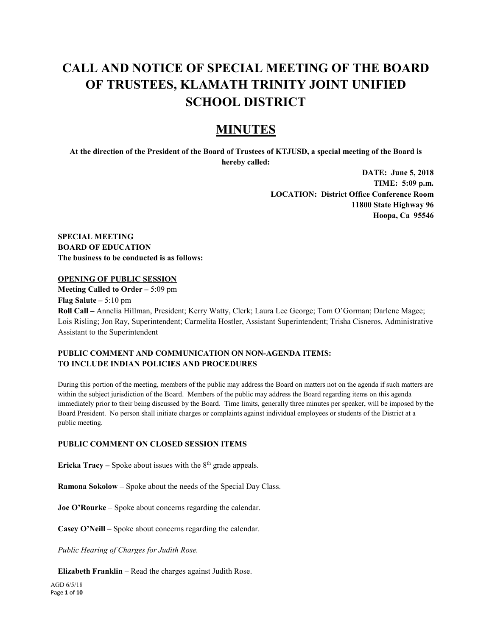# **CALL AND NOTICE OF SPECIAL MEETING OF THE BOARD OF TRUSTEES, KLAMATH TRINITY JOINT UNIFIED SCHOOL DISTRICT**

## **MINUTES**

**At the direction of the President of the Board of Trustees of KTJUSD, a special meeting of the Board is hereby called:**

> **DATE: June 5, 2018 TIME: 5:09 p.m. LOCATION: District Office Conference Room 11800 State Highway 96 Hoopa, Ca 95546**

**SPECIAL MEETING BOARD OF EDUCATION The business to be conducted is as follows:**

#### **OPENING OF PUBLIC SESSION**

**Meeting Called to Order –** 5:09 pm **Flag Salute –** 5:10 pm

**Roll Call –** Annelia Hillman, President; Kerry Watty, Clerk; Laura Lee George; Tom O'Gorman; Darlene Magee; Lois Risling; Jon Ray, Superintendent; Carmelita Hostler, Assistant Superintendent; Trisha Cisneros, Administrative Assistant to the Superintendent

## **PUBLIC COMMENT AND COMMUNICATION ON NON-AGENDA ITEMS: TO INCLUDE INDIAN POLICIES AND PROCEDURES**

During this portion of the meeting, members of the public may address the Board on matters not on the agenda if such matters are within the subject jurisdiction of the Board. Members of the public may address the Board regarding items on this agenda immediately prior to their being discussed by the Board. Time limits, generally three minutes per speaker, will be imposed by the Board President. No person shall initiate charges or complaints against individual employees or students of the District at a public meeting.

#### **PUBLIC COMMENT ON CLOSED SESSION ITEMS**

**Ericka Tracy** – Spoke about issues with the  $8<sup>th</sup>$  grade appeals.

**Ramona Sokolow –** Spoke about the needs of the Special Day Class.

**Joe O'Rourke** – Spoke about concerns regarding the calendar.

**Casey O'Neill** – Spoke about concerns regarding the calendar.

*Public Hearing of Charges for Judith Rose.*

**Elizabeth Franklin** – Read the charges against Judith Rose.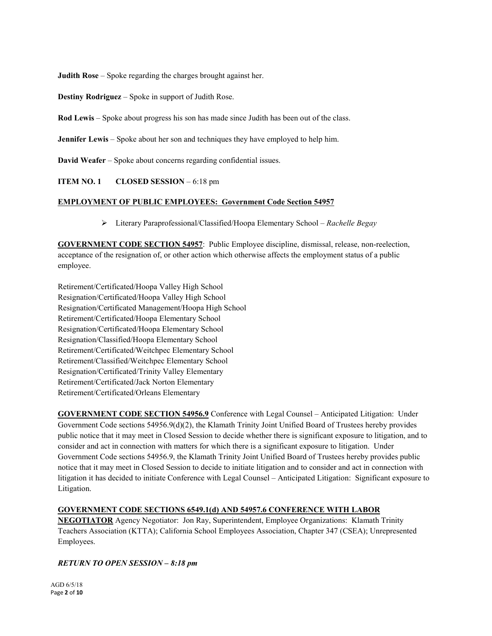**Judith Rose** – Spoke regarding the charges brought against her.

**Destiny Rodriguez** – Spoke in support of Judith Rose.

**Rod Lewis** – Spoke about progress his son has made since Judith has been out of the class.

**Jennifer Lewis** – Spoke about her son and techniques they have employed to help him.

**David Weafer** – Spoke about concerns regarding confidential issues.

#### **ITEM NO. 1** CLOSED SESSION – 6:18 pm

#### **EMPLOYMENT OF PUBLIC EMPLOYEES: Government Code Section 54957**

Literary Paraprofessional/Classified/Hoopa Elementary School – *Rachelle Begay*

**GOVERNMENT CODE SECTION 54957**: Public Employee discipline, dismissal, release, non-reelection, acceptance of the resignation of, or other action which otherwise affects the employment status of a public employee.

Retirement/Certificated/Hoopa Valley High School Resignation/Certificated/Hoopa Valley High School Resignation/Certificated Management/Hoopa High School Retirement/Certificated/Hoopa Elementary School Resignation/Certificated/Hoopa Elementary School Resignation/Classified/Hoopa Elementary School Retirement/Certificated/Weitchpec Elementary School Retirement/Classified/Weitchpec Elementary School Resignation/Certificated/Trinity Valley Elementary Retirement/Certificated/Jack Norton Elementary Retirement/Certificated/Orleans Elementary

**GOVERNMENT CODE SECTION 54956.9** Conference with Legal Counsel – Anticipated Litigation: Under Government Code sections 54956.9(d)(2), the Klamath Trinity Joint Unified Board of Trustees hereby provides public notice that it may meet in Closed Session to decide whether there is significant exposure to litigation, and to consider and act in connection with matters for which there is a significant exposure to litigation. Under Government Code sections 54956.9, the Klamath Trinity Joint Unified Board of Trustees hereby provides public notice that it may meet in Closed Session to decide to initiate litigation and to consider and act in connection with litigation it has decided to initiate Conference with Legal Counsel – Anticipated Litigation: Significant exposure to Litigation.

## **GOVERNMENT CODE SECTIONS 6549.1(d) AND 54957.6 CONFERENCE WITH LABOR**

**NEGOTIATOR** Agency Negotiator: Jon Ray, Superintendent, Employee Organizations: Klamath Trinity Teachers Association (KTTA); California School Employees Association, Chapter 347 (CSEA); Unrepresented Employees.

## *RETURN TO OPEN SESSION – 8:18 pm*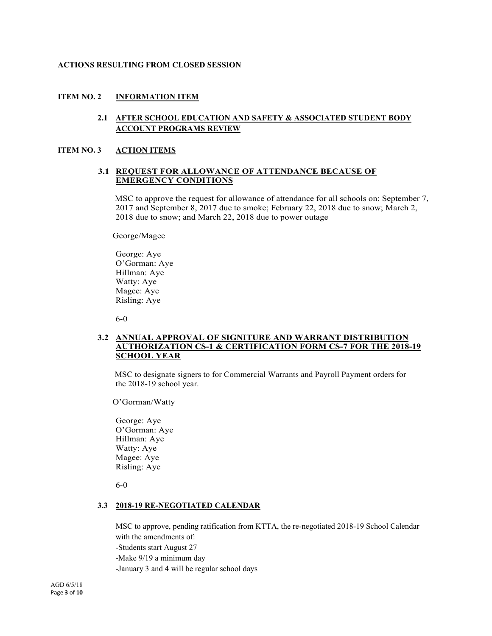#### **ACTIONS RESULTING FROM CLOSED SESSION**

#### **ITEM NO. 2 INFORMATION ITEM**

#### **2.1 AFTER SCHOOL EDUCATION AND SAFETY & ASSOCIATED STUDENT BODY ACCOUNT PROGRAMS REVIEW**

#### **ITEM NO. 3 ACTION ITEMS**

#### **3.1 REQUEST FOR ALLOWANCE OF ATTENDANCE BECAUSE OF EMERGENCY CONDITIONS**

MSC to approve the request for allowance of attendance for all schools on: September 7, 2017 and September 8, 2017 due to smoke; February 22, 2018 due to snow; March 2, 2018 due to snow; and March 22, 2018 due to power outage

George/Magee

George: Aye O'Gorman: Aye Hillman: Aye Watty: Aye Magee: Aye Risling: Aye

6-0

#### **3.2 ANNUAL APPROVAL OF SIGNITURE AND WARRANT DISTRIBUTION AUTHORIZATION CS-1 & CERTIFICATION FORM CS-7 FOR THE 2018-19 SCHOOL YEAR**

MSC to designate signers to for Commercial Warrants and Payroll Payment orders for the 2018-19 school year.

O'Gorman/Watty

George: Aye O'Gorman: Aye Hillman: Aye Watty: Aye Magee: Aye Risling: Aye

6-0

#### **3.3 2018-19 RE-NEGOTIATED CALENDAR**

MSC to approve, pending ratification from KTTA, the re-negotiated 2018-19 School Calendar with the amendments of: -Students start August 27 -Make 9/19 a minimum day -January 3 and 4 will be regular school days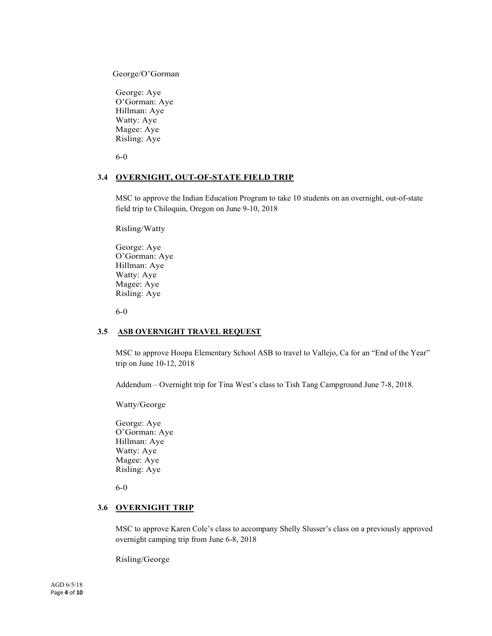George/O'Gorman

George: Aye O'Gorman: Aye Hillman: Aye Watty: Aye Magee: Aye Risling: Aye

6-0

#### **3.4 OVERNIGHT, OUT-OF-STATE FIELD TRIP**

MSC to approve the Indian Education Program to take 10 students on an overnight, out-of-state field trip to Chiloquin, Oregon on June 9-10, 2018

Risling/Watty

George: Aye O'Gorman: Aye Hillman: Aye Watty: Aye Magee: Aye Risling: Aye

6-0

#### **3.5 ASB OVERNIGHT TRAVEL REQUEST**

MSC to approve Hoopa Elementary School ASB to travel to Vallejo, Ca for an "End of the Year" trip on June 10-12, 2018

Addendum – Overnight trip for Tina West's class to Tish Tang Campground June 7-8, 2018.

Watty/George

George: Aye O'Gorman: Aye Hillman: Aye Watty: Aye Magee: Aye Risling: Aye

6-0

#### **3.6 OVERNIGHT TRIP**

MSC to approve Karen Cole's class to accompany Shelly Slusser's class on a previously approved overnight camping trip from June 6-8, 2018

Risling/George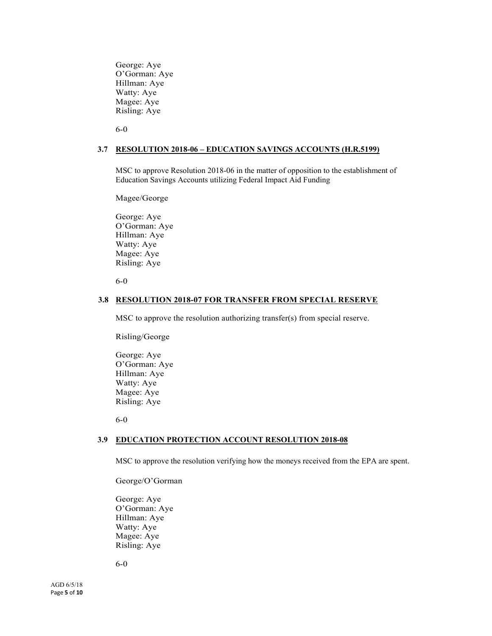George: Aye O'Gorman: Aye Hillman: Aye Watty: Aye Magee: Aye Risling: Aye

6-0

#### **3.7 RESOLUTION 2018-06 – EDUCATION SAVINGS ACCOUNTS (H.R.5199)**

MSC to approve Resolution 2018-06 in the matter of opposition to the establishment of Education Savings Accounts utilizing Federal Impact Aid Funding

Magee/George

George: Aye O'Gorman: Aye Hillman: Aye Watty: Aye Magee: Aye Risling: Aye

6-0

#### **3.8 RESOLUTION 2018-07 FOR TRANSFER FROM SPECIAL RESERVE**

MSC to approve the resolution authorizing transfer(s) from special reserve.

Risling/George

George: Aye O'Gorman: Aye Hillman: Aye Watty: Aye Magee: Aye Risling: Aye

6-0

#### **3.9 EDUCATION PROTECTION ACCOUNT RESOLUTION 2018-08**

MSC to approve the resolution verifying how the moneys received from the EPA are spent.

George/O'Gorman

George: Aye O'Gorman: Aye Hillman: Aye Watty: Aye Magee: Aye Risling: Aye

6-0

AGD 6/5/18 Page **5** of **10**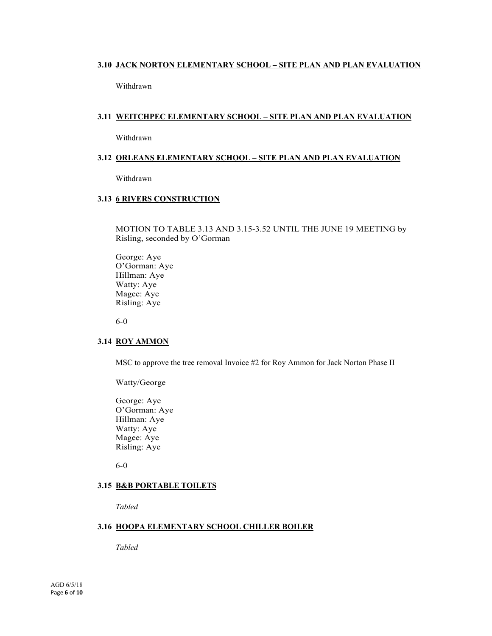#### **3.10 JACK NORTON ELEMENTARY SCHOOL – SITE PLAN AND PLAN EVALUATION**

Withdrawn

#### **3.11 WEITCHPEC ELEMENTARY SCHOOL – SITE PLAN AND PLAN EVALUATION**

Withdrawn

#### **3.12 ORLEANS ELEMENTARY SCHOOL – SITE PLAN AND PLAN EVALUATION**

Withdrawn

#### **3.13 6 RIVERS CONSTRUCTION**

MOTION TO TABLE 3.13 AND 3.15-3.52 UNTIL THE JUNE 19 MEETING by Risling, seconded by O'Gorman

George: Aye O'Gorman: Aye Hillman: Aye Watty: Aye Magee: Aye Risling: Aye

6-0

#### **3.14 ROY AMMON**

MSC to approve the tree removal Invoice #2 for Roy Ammon for Jack Norton Phase II

Watty/George

George: Aye O'Gorman: Aye Hillman: Aye Watty: Aye Magee: Aye Risling: Aye

6-0

#### **3.15 B&B PORTABLE TOILETS**

*Tabled*

#### **3.16 HOOPA ELEMENTARY SCHOOL CHILLER BOILER**

*Tabled*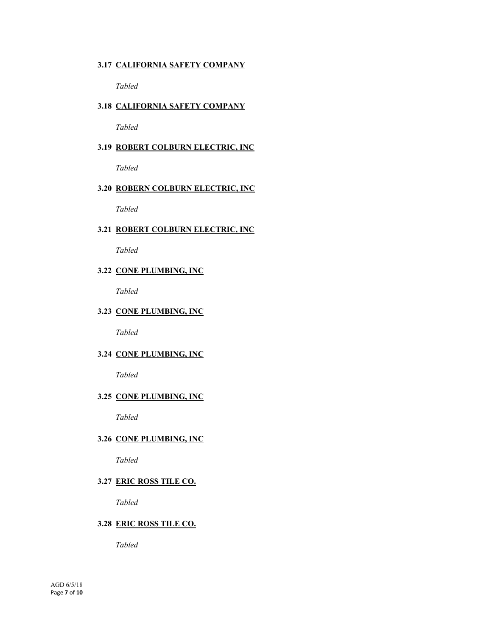#### **3.17 CALIFORNIA SAFETY COMPANY**

*Tabled*

## **3.18 CALIFORNIA SAFETY COMPANY**

*Tabled*

## **3.19 ROBERT COLBURN ELECTRIC, INC**

*Tabled*

## **3.20 ROBERN COLBURN ELECTRIC, INC**

*Tabled*

#### **3.21 ROBERT COLBURN ELECTRIC, INC**

*Tabled*

## **3.22 CONE PLUMBING, INC**

*Tabled*

#### **3.23 CONE PLUMBING, INC**

*Tabled*

#### **3.24 CONE PLUMBING, INC**

*Tabled*

#### **3.25 CONE PLUMBING, INC**

*Tabled*

#### **3.26 CONE PLUMBING, INC**

*Tabled*

## **3.27 ERIC ROSS TILE CO.**

*Tabled*

#### **3.28 ERIC ROSS TILE CO.**

*Tabled*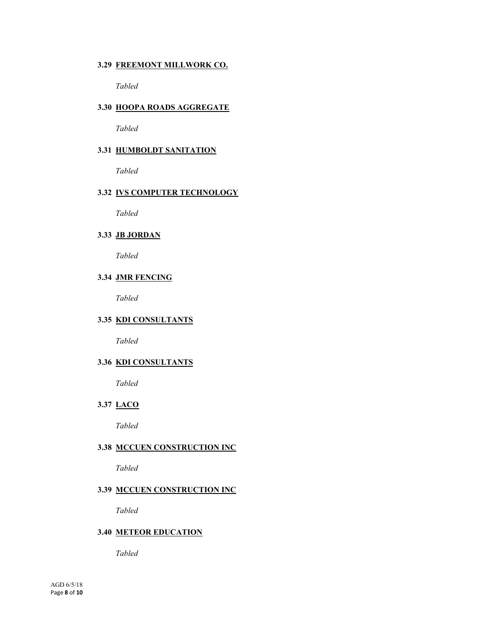#### **3.29 FREEMONT MILLWORK CO.**

*Tabled*

#### **3.30 HOOPA ROADS AGGREGATE**

*Tabled*

#### **3.31 HUMBOLDT SANITATION**

*Tabled*

## **3.32 IVS COMPUTER TECHNOLOGY**

*Tabled*

## **3.33 JB JORDAN**

*Tabled*

#### **3.34 JMR FENCING**

*Tabled*

#### **3.35 KDI CONSULTANTS**

*Tabled*

## **3.36 KDI CONSULTANTS**

*Tabled*

## **3.37 LACO**

*Tabled*

#### **3.38 MCCUEN CONSTRUCTION INC**

*Tabled*

#### **3.39 MCCUEN CONSTRUCTION INC**

*Tabled*

#### **3.40 METEOR EDUCATION**

*Tabled*

AGD 6/5/18 Page **8** of **10**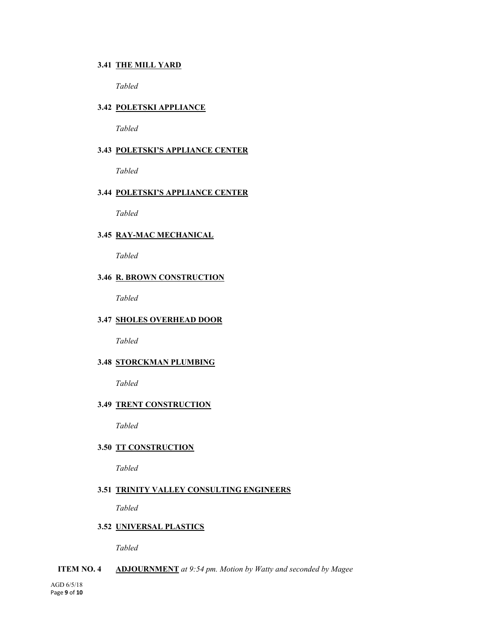#### **3.41 THE MILL YARD**

*Tabled*

#### **3.42 POLETSKI APPLIANCE**

*Tabled*

#### **3.43 POLETSKI'S APPLIANCE CENTER**

*Tabled*

#### **3.44 POLETSKI'S APPLIANCE CENTER**

*Tabled*

#### **3.45 RAY-MAC MECHANICAL**

*Tabled*

#### **3.46 R. BROWN CONSTRUCTION**

*Tabled*

#### **3.47 SHOLES OVERHEAD DOOR**

*Tabled*

#### **3.48 STORCKMAN PLUMBING**

*Tabled*

#### **3.49 TRENT CONSTRUCTION**

*Tabled*

#### **3.50 TT CONSTRUCTION**

*Tabled*

#### **3.51 TRINITY VALLEY CONSULTING ENGINEERS**

*Tabled*

## **3.52 UNIVERSAL PLASTICS**

*Tabled*

#### **ITEM NO. 4 ADJOURNMENT** *at 9:54 pm. Motion by Watty and seconded by Magee*

AGD 6/5/18 Page **9** of **10**